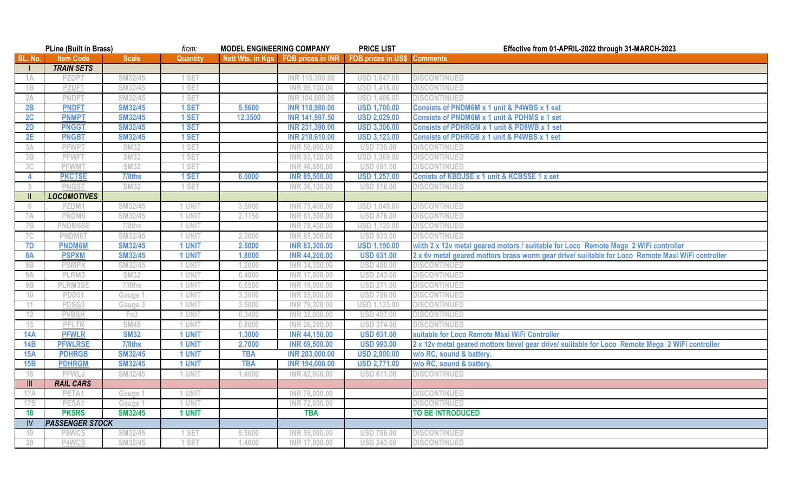| <b>PLine (Built in Brass)</b>    |                        | from:              | <b>MODEL ENGINEERING COMPANY</b> |            | <b>PRICE LIST</b>                   | Effective from 01-APRIL-2022 through 31-MARCH-2023 |                                                                                                   |  |
|----------------------------------|------------------------|--------------------|----------------------------------|------------|-------------------------------------|----------------------------------------------------|---------------------------------------------------------------------------------------------------|--|
| SL. No.                          | <b>Item Code</b>       | <b>Scale</b>       | <b>Quantity</b>                  |            | Nett Wts. in Kgs  FOB prices in INR | <b>FOB prices in US\$</b>                          | <b>Comments</b>                                                                                   |  |
|                                  | <b>TRAIN SETS</b>      |                    |                                  |            |                                     |                                                    |                                                                                                   |  |
| 1A                               | <b>PZDP</b>            | SM32/45            | 1 SET                            |            | INR 115,300.00                      | USD 1,647.00                                       | <b>DISCONTINUED</b>                                                                               |  |
| 1B                               | PZDFI                  | SM32/45            | I SET                            |            | INR 99,100.00                       | <b>USD</b><br>1,416.00                             | <b>DISCONTINUED</b>                                                                               |  |
| 2A                               | <b>PNDPT</b>           | SM32/45            | I SET                            |            | INR 104,000.00                      | <b>USD</b><br>,486.00                              | <b>DISCONTINUED</b>                                                                               |  |
| 2B                               | <b>PNDFT</b>           | <b>SM32/45</b>     | 1 SET                            | 5.5600     | <b>INR 118,980.00</b>               | <b>USD 1,700.00</b>                                | Consists of PNDM6M x 1 unit & P4WBS x 1 set                                                       |  |
| 2C                               | <b>PNMPT</b>           | <b>SM32/45</b>     | 1 SET                            | 12.3500    | INR 141,997.50                      | <b>USD 2,029.00</b>                                | <b>Consists of PNDM6M x 1 unit &amp; PDHMS x 1 set</b>                                            |  |
| 2D                               | <b>PNGGT</b>           | <b>SM32/45</b>     | 1 SET                            |            | <b>INR 231,390.00</b>               | <b>USD 3,306.00</b>                                | <b>Consists of PDHRGM x 1 unit &amp; PD8WB x 1 set</b>                                            |  |
| 2E                               | <b>PNGBT</b>           | <b>SM32/45</b>     | 1 SET                            |            | <b>INR 218,610.00</b>               | <b>USD 3,123.00</b>                                | Consists of PDHRGB x 1 unit & P4WBS x 1 set                                                       |  |
| 3A                               | <b>PFWPT</b>           | <b>SM32</b>        | I SET                            |            | INR 50,000.00                       | <b>USD 735.00</b>                                  | <b>DISCONTINUED</b>                                                                               |  |
| 3B                               | <b>PFWF1</b>           | <b>SM32</b>        | I SE <sup>-</sup>                |            | INR 93,120.00                       | <b>USD</b><br>,369.00                              | <b>DISCONTINUED</b>                                                                               |  |
| 3C                               | <b>PFWMT</b>           | <b>SM32</b>        | 1 SE <sub>1</sub>                |            | INR 46,980.00                       | <b>USD 691.00</b>                                  | <b>DISCONTINUED</b>                                                                               |  |
| 4                                | <b>PKCTSE</b>          | 7/8ths             | 1 SET                            | 6.0000     | <b>INR 85,500.00</b>                | <b>USD 1,257.00</b>                                | Conists of KBDJSE x 1 unit & KCBSSE 1 x set                                                       |  |
| -5                               | <b>PNGS</b>            | <b>SM32</b>        | 1 SE <sub>1</sub>                |            | INR 36,100.00                       | <b>USD 516.00</b>                                  | <b>DISCONTINUED</b>                                                                               |  |
| $\mathbf{I}$                     | <b>LOCOMOTIVES</b>     |                    |                                  |            |                                     |                                                    |                                                                                                   |  |
| -6                               | 2ZDM.                  | SM32/45            | 1 UNIT                           | 3.5000     | INR 73,400.00                       | USD 1,049.00                                       | <b>DISCONTINUED</b>                                                                               |  |
| 7A                               | PNDM6                  | SM32/45            | 1 UNIT                           | 2.1750     | INR 61,300.00                       | <b>USD 876.00</b>                                  | <b>DISCONTINUED</b>                                                                               |  |
| 7B                               | <b>PNDM6SE</b>         | $7/8$ ths          | 1 UNIT                           |            | INR 78,400.00                       | <b>USD 1,120.00</b>                                | <b>DISCONTINUED</b>                                                                               |  |
| 7C                               | PNDM61                 | SM32/45            | 1 UNIT                           | 2.3000     | INR 65,300.00                       | <b>USD 933.00</b>                                  | <b>DISCONTINUED</b>                                                                               |  |
| 7D                               | <b>PNDM6M</b>          | <b>SM32/45</b>     | 1 UNIT                           | 2.5000     | <b>INR 83,300.00</b>                | <b>USD 1,190.00</b>                                | wiith 2 x 12v metal geared motors / suiitable for Loco Remote Mega 2 WiFi controller              |  |
| <b>8A</b>                        | <b>PSPXM</b>           | <b>SM32/45</b>     | 1 UNIT                           | 1.8000     | <b>INR 44,200.00</b>                | <b>USD 631.00</b>                                  | 2 x 6v metal geared mottors brass worm gear drive/ suiitable for Loco Remote Maxi WiFi controller |  |
| 8B                               | <b>PSMPX</b>           | SM32/45            | 1 UNIT                           | 1.2000     | INR 34,300.00                       | <b>USD 490.00</b>                                  | <b>DISCONTINUED</b>                                                                               |  |
| 9A                               | PLRM3                  | <b>SM32</b>        | 1 UNIT                           | 0.4000     | INR 17,000.00                       | <b>USD 243.00</b>                                  | <b>DISCONTINUED</b>                                                                               |  |
| 9B                               | PLRM3SE                | 7/8ths             | 1 UNIT                           | 0.5500     | INR 19,000.00                       | <b>USD 271.00</b>                                  | <b>DISCONTINUED</b>                                                                               |  |
| 10 <sup>°</sup>                  | PDD51                  | Gauge <sup>'</sup> | 1 UNIT                           | 3.3000     | INR 55,000.00                       | <b>USD 786.00</b>                                  | <b>DISCONTINUED</b>                                                                               |  |
| 11                               | PDSG3                  | Gauge 3            | 1 UNIT                           | 3.5000     | INR 79,300.00                       | <b>USD 1,133.00</b>                                | <b>DISCONTINUED</b>                                                                               |  |
| 12                               | <b>PVBSH</b>           | Fn3                | 1 UNIT                           | 0.3400     | INR 32,000.00                       | <b>USD 457.00</b>                                  | <b>DISCONTINUED</b>                                                                               |  |
| 13                               | <b>PFLTR</b>           | <b>SM45</b>        | <b>UNIT</b>                      | 0.8000     | INR 26,200.00                       | <b>USD 374.00</b>                                  | <b>DISCONTINUED</b>                                                                               |  |
| <b>14A</b>                       | <b>PFWLR</b>           | <b>SM32</b>        | <b>1 UNIT</b>                    | 1.3000     | <b>INR 44,150.00</b>                | <b>USD 631.00</b>                                  | suitable for Loco Remote Maxi WiFi Controller                                                     |  |
| 14B                              | <b>PFWLRSE</b>         | 7/8ths             | <b>1 UNIT</b>                    | 2.7000     | <b>INR 69,500.00</b>                | <b>USD 993.00</b>                                  | 2 x 12v metal geared mottors bevel gear drive/ suiitable for Loco Remote Mega 2 WiFi controller   |  |
| <b>15A</b>                       | <b>PDHRGB</b>          | <b>SM32/45</b>     | <b>1 UNIT</b>                    | <b>TBA</b> | <b>INR 203,000.00</b>               | <b>USD 2,900.00</b>                                | w/o RC, sound & battery.                                                                          |  |
| 15B                              | <b>PDHRGM</b>          | <b>SM32/45</b>     | 1 UNIT                           | <b>TBA</b> | <b>INR 194,000.00</b>               | <b>USD 2,771.00</b>                                | w/o RC, sound & battery.                                                                          |  |
| 16                               | <b>PFWLJ</b>           | SM32/45            | 1 UNIT                           | 1.4500     | INR 42,800.00                       | <b>USD 611.00</b>                                  | <b>DISCONTINUED</b>                                                                               |  |
| $\mathop{\mathrm{III}}\nolimits$ | <b>RAIL CARS</b>       |                    |                                  |            |                                     |                                                    |                                                                                                   |  |
| 17A                              | PETA <sup>®</sup>      | Gauge 1            | 1 UNIT                           |            | INR 78,000.00                       |                                                    | <b>DISCONTINUED</b>                                                                               |  |
| 17B                              | PESA1                  | Gauge 1            | 1 UNIT                           |            | INR 72,000.00                       |                                                    | <b>DISCONTINUED</b>                                                                               |  |
| 18                               | <b>PKSRS</b>           | <b>SM32/45</b>     | <b>1 UNIT</b>                    |            | <b>TBA</b>                          |                                                    | <b>TO BE INTRODUCED</b>                                                                           |  |
| IV                               | <b>PASSENGER STOCK</b> |                    |                                  |            |                                     |                                                    |                                                                                                   |  |
| 19                               | P8WCS                  | SM32/45            | <b>SET</b>                       | 5.5000     | INR 55,000.00                       | <b>USD 786.00</b>                                  | <b>DISCONTINUED</b>                                                                               |  |
| 20                               | P4WCS                  | SM32/45            | 1 SET                            | 1.4000     | INR 17,000.00                       | <b>USD 243.00</b>                                  | <b>DISCONTINUED</b>                                                                               |  |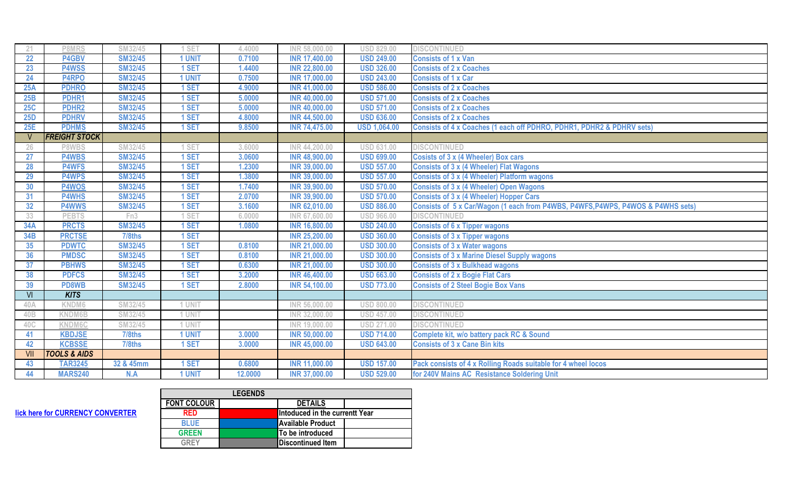| -21             | P8MRS                   | SM32/45         | <b>SET</b>    | 4.4000  | INR 58,000.00        | <b>USD 829.00</b>   | <b>DISCONTINUED</b>                                                             |  |
|-----------------|-------------------------|-----------------|---------------|---------|----------------------|---------------------|---------------------------------------------------------------------------------|--|
| 22              | P4GBV                   | <b>SM32/45</b>  | 1 UNIT        | 0.7100  | <b>INR 17,400.00</b> | <b>USD 249.00</b>   | <b>Consists of 1 x Van</b>                                                      |  |
| 23              | <b>P4WSS</b>            | <b>SM32/45</b>  | 1 SET         | .4400   | <b>INR 22,800.00</b> | <b>USD 326.00</b>   | <b>Consists of 2 x Coaches</b>                                                  |  |
| 24              | P4RPO                   | <b>SM32/45</b>  | <b>1 UNIT</b> | 0.7500  | <b>INR 17,000.00</b> | <b>USD 243.00</b>   | <b>Consists of 1 x Car</b>                                                      |  |
| 25A             | <b>PDHRO</b>            | <b>SM32/45</b>  | 1 SET         | 4.9000  | <b>INR 41,000.00</b> | <b>USD 586.00</b>   | <b>Consists of 2 x Coaches</b>                                                  |  |
| 25B             | PDHR1                   | <b>SM32/45</b>  | 1 SET         | 5.0000  | <b>INR 40,000.00</b> | <b>USD 571.00</b>   | <b>Consists of 2 x Coaches</b>                                                  |  |
| 25C             | <b>PDHR2</b>            | <b>SM32/45</b>  | 1 SET         | 5.0000  | <b>INR 40,000.00</b> | <b>USD 571.00</b>   | <b>Consists of 2 x Coaches</b>                                                  |  |
| <b>25D</b>      | <b>PDHRV</b>            | <b>SM32/45</b>  | 1 SET         | 4.8000  | <b>INR 44,500.00</b> | <b>USD 636.00</b>   | <b>Consists of 2 x Coaches</b>                                                  |  |
| 25E             | <b>PDHMS</b>            | <b>SM32/45</b>  | 1 SET         | 9.8500  | <b>INR 74,475.00</b> | <b>USD 1,064.00</b> | Consists of 4 x Coaches (1 each off PDHRO, PDHR1, PDHR2 & PDHRV sets)           |  |
|                 | <b>FREIGHT STOCK</b>    |                 |               |         |                      |                     |                                                                                 |  |
| 26              | P8WBS                   | SM32/45         | SET           | 3.6000  | INR 44,200.00        | <b>USD 631.00</b>   | <b>DISCONTINUED</b>                                                             |  |
| 27              | <b>P4WBS</b>            | <b>SM32/45</b>  | 1 SET         | 3.0600  | <b>INR 48,900.00</b> | <b>USD 699.00</b>   | <b>Cosists of 3 x (4 Wheeler) Box cars</b>                                      |  |
| 28              | <b>P4WFS</b>            | <b>SM32/45</b>  | 1 SET         | 1.2300  | <b>INR 39,000.00</b> | <b>USD 557.00</b>   | <b>Consists of 3 x (4 Wheeler) Flat Wagons</b>                                  |  |
| 29              | <b>P4WPS</b>            | <b>SM32/45</b>  | I SET         | 1.3800  | <b>INR 39,000.00</b> | <b>USD 557.00</b>   | <b>Consists of 3 x (4 Wheeler) Platform wagons</b>                              |  |
| 30              | P4WOS                   | <b>SM32/45</b>  | 1 SET         | 1.7400  | <b>INR 39,900.00</b> | <b>USD 570.00</b>   | <b>Consists of 3 x (4 Wheeler) Open Wagons</b>                                  |  |
| 31              | <b>P4WHS</b>            | <b>SM32/45</b>  | 1 SET         | 2.0700  | <b>INR 39,900.00</b> | <b>USD 570.00</b>   | <b>Consists of 3 x (4 Wheeler) Hopper Cars</b>                                  |  |
| 32              | <b>P4WWS</b>            | <b>SM32/45</b>  | 1 SET         | 3.1600  | <b>INR 62,010.00</b> | <b>USD 886.00</b>   | Consists of 5 x Car/Wagon (1 each from P4WBS, P4WFS, P4WPS, P4WOS & P4WHS sets) |  |
| 33              | <b>PEBTS</b>            | Fn <sub>3</sub> | <b>SET</b>    | 6.0000  | INR 67,600.00        | <b>USD 966.00</b>   | <b>DISCONTINUED</b>                                                             |  |
| <b>34A</b>      | <b>PRCTS</b>            | <b>SM32/45</b>  | 1 SET         | 1.0800  | <b>INR 16,800.00</b> | <b>USD 240.00</b>   | <b>Consists of 6 x Tipper wagons</b>                                            |  |
| 34B             | <b>PRCTSE</b>           | 7/8ths          | 1 SET         |         | <b>INR 25,200.00</b> | <b>USD 360.00</b>   | <b>Consists of 3 x Tipper wagons</b>                                            |  |
| 35              | <b>PDWTC</b>            | <b>SM32/45</b>  | 1 SET         | 0.8100  | <b>INR 21,000.00</b> | <b>USD 300.00</b>   | <b>Consists of 3 x Water wagons</b>                                             |  |
| 36              | <b>PMDSC</b>            | <b>SM32/45</b>  | 1 SET         | 0.8100  | <b>INR 21,000.00</b> | <b>USD 300.00</b>   | <b>Consists of 3 x Marine Diesel Supply wagons</b>                              |  |
| 37              | <b>PBHWS</b>            | <b>SM32/45</b>  | 1 SET         | 0.6300  | <b>INR 21,000.00</b> | <b>USD 300.00</b>   | <b>Consists of 3 x Bulkhead wagons</b>                                          |  |
| 38              | <b>PDFCS</b>            | <b>SM32/45</b>  | 1 SET         | 3.2000  | <b>INR 46,400.00</b> | <b>USD 663.00</b>   | <b>Consists of 2 x Bogie Flat Cars</b>                                          |  |
| 39              | PD8WB                   | <b>SM32/45</b>  | 1 SET         | 2.8000  | <b>INR 54,100.00</b> | <b>USD 773.00</b>   | <b>Consists of 2 Steel Bogie Box Vans</b>                                       |  |
| $\overline{V}$  | <b>KITS</b>             |                 |               |         |                      |                     |                                                                                 |  |
| 40A             | KNDM6                   | SM32/45         | 1 UNIT        |         | INR 56,000.00        | <b>USD 800.00</b>   | <b>DISCONTINUED</b>                                                             |  |
| 40 <sub>B</sub> | KNDM6B                  | SM32/45         | 1 UNIT        |         | INR 32,000.00        | <b>USD 457.00</b>   | <b>DISCONTINUED</b>                                                             |  |
| 40C             | <b>KNDM6C</b>           | SM32/45         | 1 UNIT        |         | INR 19,000.00        | <b>USD 271.00</b>   | <b>DISCONTINUED</b>                                                             |  |
| 41              | <b>KBDJSE</b>           | 7/8ths          | 1 UNIT        | 3.0000  | <b>INR 50,000.00</b> | <b>USD 714.00</b>   | Complete kit, w/o battery pack RC & Sound                                       |  |
| 42              | <b>KCBSSE</b>           | 7/8ths          | 1 SET         | 3.0000  | <b>INR 45,000.00</b> | <b>USD 643.00</b>   | <b>Consists of 3 x Cane Bin kits</b>                                            |  |
| -VII            | <b>TOOLS &amp; AIDS</b> |                 |               |         |                      |                     |                                                                                 |  |
| 43              | <b>TAR3245</b>          | 32 & 45mm       | 1 SET         | 0.6800  | <b>INR 11,000.00</b> | <b>USD 157.00</b>   | Pack consists of 4 x Rolling Roads suitable for 4 wheel locos                   |  |
| 44              | <b>MARS240</b>          | N.A             | <b>1 UNIT</b> | 12.0000 | <b>INR 37,000.00</b> | <b>USD 529.00</b>   | for 240V Mains AC Resistance Soldering Unit                                     |  |

|                    | <b>LEGENDS</b> |                                |  |  |
|--------------------|----------------|--------------------------------|--|--|
| <b>FONT COLOUR</b> |                | <b>DETAILS</b>                 |  |  |
| <b>RED</b>         |                | Intoduced in the currentt Year |  |  |
| <b>BLUE</b>        |                | <b>Available Product</b>       |  |  |
| <b>GREEN</b>       |                | To be introduced               |  |  |
| GREY               |                | <b>Discontinued Item</b>       |  |  |

**Hick here for CURRENCY CONVERTER**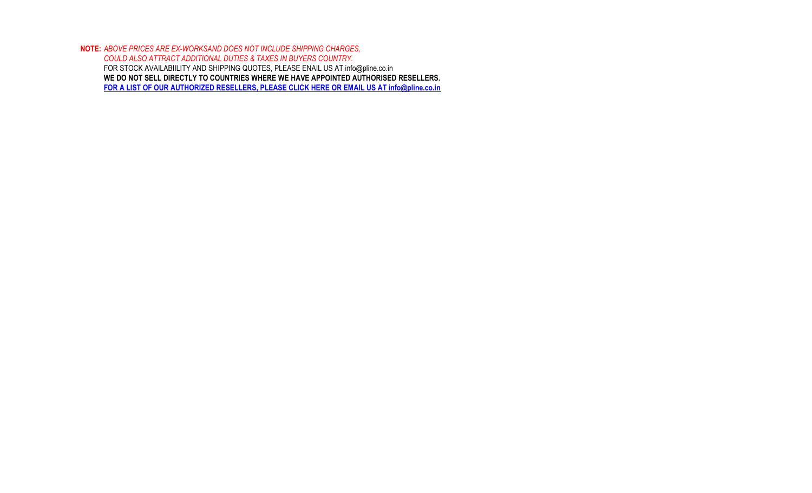**NOTE:** *ABOVE PRICES ARE EX-WORKSAND DOES NOT INCLUDE SHIPPING CHARGES, COULD ALSO ATTRACT ADDITIONAL DUTIES & TAXES IN BUYERS COUNTRY.* FOR STOCK AVAILABIILITY AND SHIPPING QUOTES, PLEASE ENAIL US AT info@pline.co.in **WE DO NOT SELL DIRECTLY TO COUNTRIES WHERE WE HAVE APPOINTED AUTHORISED RESELLERS. FOR A LIST OF OUR AUTHORIZED RESELLERS, PLEASE CLICK HERE OR EMAIL US AT info@pline.co.in**